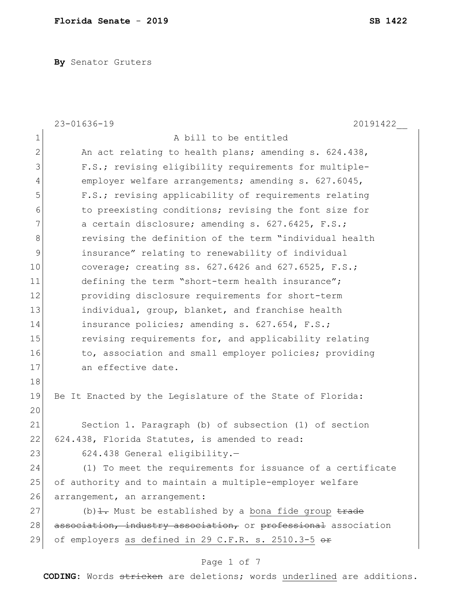**By** Senator Gruters

|                | $23 - 01636 - 19$<br>20191422                                              |  |  |  |  |  |  |  |  |
|----------------|----------------------------------------------------------------------------|--|--|--|--|--|--|--|--|
| $\mathbf 1$    | A bill to be entitled                                                      |  |  |  |  |  |  |  |  |
| $\overline{2}$ | An act relating to health plans; amending s. 624.438,                      |  |  |  |  |  |  |  |  |
| 3              | F.S.; revising eligibility requirements for multiple-                      |  |  |  |  |  |  |  |  |
| $\overline{4}$ | employer welfare arrangements; amending s. 627.6045,                       |  |  |  |  |  |  |  |  |
| 5              | F.S.; revising applicability of requirements relating                      |  |  |  |  |  |  |  |  |
| 6              | to preexisting conditions; revising the font size for                      |  |  |  |  |  |  |  |  |
| 7              | a certain disclosure; amending s. 627.6425, F.S.;                          |  |  |  |  |  |  |  |  |
| 8              | revising the definition of the term "individual health                     |  |  |  |  |  |  |  |  |
| 9              | insurance" relating to renewability of individual                          |  |  |  |  |  |  |  |  |
| 10             | coverage; creating ss. 627.6426 and 627.6525, F.S.;                        |  |  |  |  |  |  |  |  |
| 11             | defining the term "short-term health insurance";                           |  |  |  |  |  |  |  |  |
| 12             | providing disclosure requirements for short-term                           |  |  |  |  |  |  |  |  |
| 13             | individual, group, blanket, and franchise health                           |  |  |  |  |  |  |  |  |
| 14             | insurance policies; amending s. 627.654, F.S.;                             |  |  |  |  |  |  |  |  |
| 15             | revising requirements for, and applicability relating                      |  |  |  |  |  |  |  |  |
| 16             | to, association and small employer policies; providing                     |  |  |  |  |  |  |  |  |
| 17             | an effective date.                                                         |  |  |  |  |  |  |  |  |
| 18             |                                                                            |  |  |  |  |  |  |  |  |
| 19             | Be It Enacted by the Legislature of the State of Florida:                  |  |  |  |  |  |  |  |  |
| 20             |                                                                            |  |  |  |  |  |  |  |  |
| 21             | Section 1. Paragraph (b) of subsection (1) of section                      |  |  |  |  |  |  |  |  |
| 22             | 624.438, Florida Statutes, is amended to read:                             |  |  |  |  |  |  |  |  |
| 23             | 624.438 General eligibility.-                                              |  |  |  |  |  |  |  |  |
| 24             | (1) To meet the requirements for issuance of a certificate                 |  |  |  |  |  |  |  |  |
| 25             | of authority and to maintain a multiple-employer welfare                   |  |  |  |  |  |  |  |  |
| 26             | arrangement, an arrangement:                                               |  |  |  |  |  |  |  |  |
| 27             | (b) $\frac{1}{1}$ . Must be established by a bona fide group $\frac{1}{1}$ |  |  |  |  |  |  |  |  |
| 28             | association, industry association, or professional association             |  |  |  |  |  |  |  |  |
| 29             | of employers as defined in 29 C.F.R. s. 2510.3-5 or                        |  |  |  |  |  |  |  |  |

# Page 1 of 7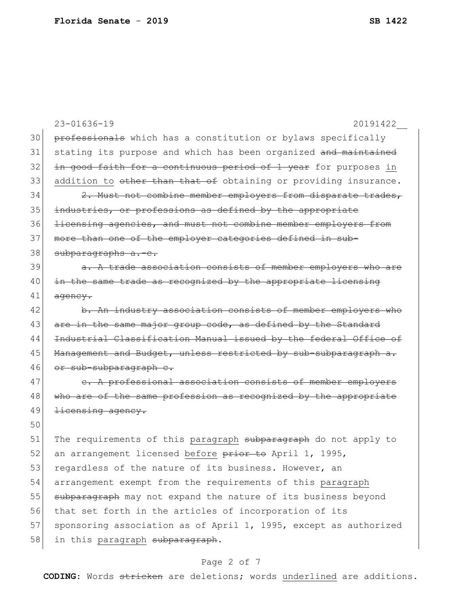|    | $23 - 01636 - 19$<br>20191422                                    |  |  |  |  |  |  |  |
|----|------------------------------------------------------------------|--|--|--|--|--|--|--|
| 30 | professionals which has a constitution or bylaws specifically    |  |  |  |  |  |  |  |
| 31 | stating its purpose and which has been organized and maintained  |  |  |  |  |  |  |  |
| 32 | in good faith for a continuous period of 1 year for purposes in  |  |  |  |  |  |  |  |
| 33 | addition to other than that of obtaining or providing insurance. |  |  |  |  |  |  |  |
| 34 | 2. Must not combine member employers from disparate trades,      |  |  |  |  |  |  |  |
| 35 | industries, or professions as defined by the appropriate         |  |  |  |  |  |  |  |
| 36 | licensing agencies, and must not combine member employers from   |  |  |  |  |  |  |  |
| 37 | more than one of the employer categories defined in sub-         |  |  |  |  |  |  |  |
| 38 | subparagraphs a.-c.                                              |  |  |  |  |  |  |  |
| 39 | a. A trade association consists of member employers who are      |  |  |  |  |  |  |  |
| 40 | in the same trade as recognized by the appropriate licensing     |  |  |  |  |  |  |  |
| 41 | ageney.                                                          |  |  |  |  |  |  |  |
| 42 | b. An industry association consists of member employers who      |  |  |  |  |  |  |  |
| 43 | are in the same major group code, as defined by the Standard     |  |  |  |  |  |  |  |
| 44 | Industrial Classification Manual issued by the federal Office of |  |  |  |  |  |  |  |
| 45 | Management and Budget, unless restricted by sub-subparagraph a.  |  |  |  |  |  |  |  |
| 46 | or sub-subparagraph c.                                           |  |  |  |  |  |  |  |
| 47 | e. A professional association consists of member employers       |  |  |  |  |  |  |  |
| 48 | who are of the same profession as recognized by the appropriate  |  |  |  |  |  |  |  |
| 49 | <b>licensing</b> agency.                                         |  |  |  |  |  |  |  |
| 50 |                                                                  |  |  |  |  |  |  |  |
| 51 | The requirements of this paragraph subparagraph do not apply to  |  |  |  |  |  |  |  |
| 52 | an arrangement licensed before prior to April 1, 1995,           |  |  |  |  |  |  |  |
| 53 | regardless of the nature of its business. However, an            |  |  |  |  |  |  |  |
| 54 | arrangement exempt from the requirements of this paragraph       |  |  |  |  |  |  |  |
| 55 | subparagraph may not expand the nature of its business beyond    |  |  |  |  |  |  |  |
| 56 | that set forth in the articles of incorporation of its           |  |  |  |  |  |  |  |
| 57 | sponsoring association as of April 1, 1995, except as authorized |  |  |  |  |  |  |  |
| 58 | in this paragraph subparagraph.                                  |  |  |  |  |  |  |  |
|    |                                                                  |  |  |  |  |  |  |  |

# Page 2 of 7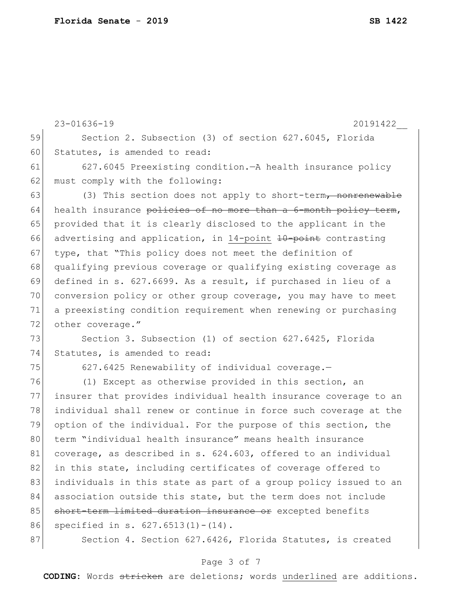|    | $23 - 01636 - 19$<br>20191422                                            |  |  |  |  |  |  |  |  |  |
|----|--------------------------------------------------------------------------|--|--|--|--|--|--|--|--|--|
| 59 | Section 2. Subsection (3) of section 627.6045, Florida                   |  |  |  |  |  |  |  |  |  |
| 60 | Statutes, is amended to read:                                            |  |  |  |  |  |  |  |  |  |
| 61 | 627.6045 Preexisting condition. - A health insurance policy              |  |  |  |  |  |  |  |  |  |
| 62 | must comply with the following:                                          |  |  |  |  |  |  |  |  |  |
| 63 | (3) This section does not apply to short-term <del>, nonrenewable</del>  |  |  |  |  |  |  |  |  |  |
| 64 | health insurance policies of no more than a 6-month policy term,         |  |  |  |  |  |  |  |  |  |
| 65 | provided that it is clearly disclosed to the applicant in the            |  |  |  |  |  |  |  |  |  |
| 66 | advertising and application, in 14-point <del>10-point</del> contrasting |  |  |  |  |  |  |  |  |  |
| 67 | type, that "This policy does not meet the definition of                  |  |  |  |  |  |  |  |  |  |
| 68 | qualifying previous coverage or qualifying existing coverage as          |  |  |  |  |  |  |  |  |  |
| 69 | defined in s. 627.6699. As a result, if purchased in lieu of a           |  |  |  |  |  |  |  |  |  |
| 70 | conversion policy or other group coverage, you may have to meet          |  |  |  |  |  |  |  |  |  |
| 71 | a preexisting condition requirement when renewing or purchasing          |  |  |  |  |  |  |  |  |  |
| 72 | other coverage."                                                         |  |  |  |  |  |  |  |  |  |
| 73 | Section 3. Subsection (1) of section 627.6425, Florida                   |  |  |  |  |  |  |  |  |  |
| 74 | Statutes, is amended to read:                                            |  |  |  |  |  |  |  |  |  |
| 75 | 627.6425 Renewability of individual coverage.-                           |  |  |  |  |  |  |  |  |  |
| 76 | (1) Except as otherwise provided in this section, an                     |  |  |  |  |  |  |  |  |  |
| 77 | insurer that provides individual health insurance coverage to an         |  |  |  |  |  |  |  |  |  |
| 78 | individual shall renew or continue in force such coverage at the         |  |  |  |  |  |  |  |  |  |
| 79 | option of the individual. For the purpose of this section, the           |  |  |  |  |  |  |  |  |  |
| 80 | term "individual health insurance" means health insurance                |  |  |  |  |  |  |  |  |  |
| 81 | coverage, as described in s. 624.603, offered to an individual           |  |  |  |  |  |  |  |  |  |
| 82 | in this state, including certificates of coverage offered to             |  |  |  |  |  |  |  |  |  |
| 83 | individuals in this state as part of a group policy issued to an         |  |  |  |  |  |  |  |  |  |
| 84 | association outside this state, but the term does not include            |  |  |  |  |  |  |  |  |  |
| 85 | short-term limited duration insurance or excepted benefits               |  |  |  |  |  |  |  |  |  |
| 86 | specified in s. $627.6513(1) - (14)$ .                                   |  |  |  |  |  |  |  |  |  |
| 87 | Section 4. Section 627.6426, Florida Statutes, is created                |  |  |  |  |  |  |  |  |  |
|    |                                                                          |  |  |  |  |  |  |  |  |  |

# Page 3 of 7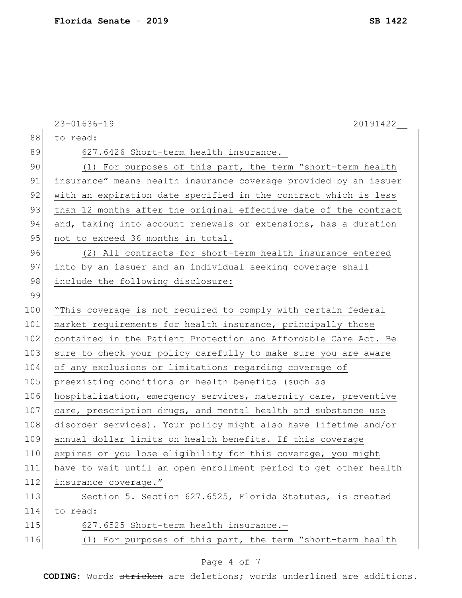|     | 20191422<br>$23 - 01636 - 19$                                    |
|-----|------------------------------------------------------------------|
| 88  | to read:                                                         |
| 89  | 627.6426 Short-term health insurance.-                           |
| 90  | (1) For purposes of this part, the term "short-term health       |
| 91  | insurance" means health insurance coverage provided by an issuer |
| 92  | with an expiration date specified in the contract which is less  |
| 93  | than 12 months after the original effective date of the contract |
| 94  | and, taking into account renewals or extensions, has a duration  |
| 95  | not to exceed 36 months in total.                                |
| 96  | (2) All contracts for short-term health insurance entered        |
| 97  | into by an issuer and an individual seeking coverage shall       |
| 98  | include the following disclosure:                                |
| 99  |                                                                  |
| 100 | "This coverage is not required to comply with certain federal    |
| 101 | market requirements for health insurance, principally those      |
| 102 | contained in the Patient Protection and Affordable Care Act. Be  |
| 103 | sure to check your policy carefully to make sure you are aware   |
| 104 | of any exclusions or limitations regarding coverage of           |
| 105 | preexisting conditions or health benefits (such as               |
| 106 | hospitalization, emergency services, maternity care, preventive  |
| 107 | care, prescription drugs, and mental health and substance use    |
| 108 | disorder services). Your policy might also have lifetime and/or  |
| 109 | annual dollar limits on health benefits. If this coverage        |
| 110 | expires or you lose eligibility for this coverage, you might     |
| 111 | have to wait until an open enrollment period to get other health |
| 112 | insurance coverage."                                             |
| 113 | Section 5. Section 627.6525, Florida Statutes, is created        |
| 114 | to read:                                                         |
| 115 | 627.6525 Short-term health insurance.-                           |
| 116 | (1) For purposes of this part, the term "short-term health       |
|     |                                                                  |

# Page 4 of 7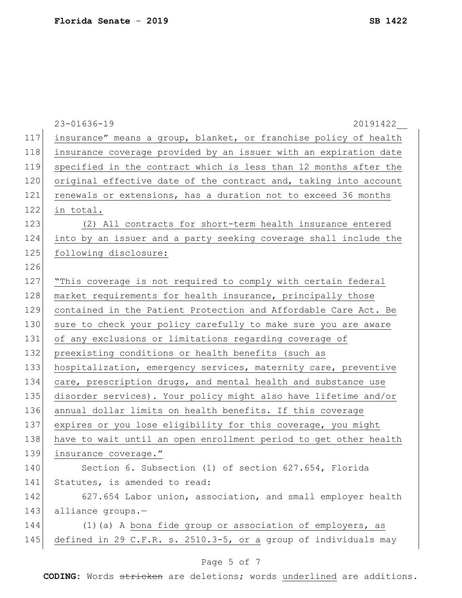|     | $23 - 01636 - 19$<br>20191422                                    |  |  |  |  |  |  |  |  |  |
|-----|------------------------------------------------------------------|--|--|--|--|--|--|--|--|--|
| 117 | insurance" means a group, blanket, or franchise policy of health |  |  |  |  |  |  |  |  |  |
| 118 | insurance coverage provided by an issuer with an expiration date |  |  |  |  |  |  |  |  |  |
| 119 | specified in the contract which is less than 12 months after the |  |  |  |  |  |  |  |  |  |
| 120 | original effective date of the contract and, taking into account |  |  |  |  |  |  |  |  |  |
| 121 | renewals or extensions, has a duration not to exceed 36 months   |  |  |  |  |  |  |  |  |  |
| 122 | in total.                                                        |  |  |  |  |  |  |  |  |  |
| 123 | (2) All contracts for short-term health insurance entered        |  |  |  |  |  |  |  |  |  |
| 124 | into by an issuer and a party seeking coverage shall include the |  |  |  |  |  |  |  |  |  |
| 125 | following disclosure:                                            |  |  |  |  |  |  |  |  |  |
| 126 |                                                                  |  |  |  |  |  |  |  |  |  |
| 127 | "This coverage is not required to comply with certain federal    |  |  |  |  |  |  |  |  |  |
| 128 | market requirements for health insurance, principally those      |  |  |  |  |  |  |  |  |  |
| 129 | contained in the Patient Protection and Affordable Care Act. Be  |  |  |  |  |  |  |  |  |  |
| 130 | sure to check your policy carefully to make sure you are aware   |  |  |  |  |  |  |  |  |  |
| 131 | of any exclusions or limitations regarding coverage of           |  |  |  |  |  |  |  |  |  |
| 132 | preexisting conditions or health benefits (such as               |  |  |  |  |  |  |  |  |  |
| 133 | hospitalization, emergency services, maternity care, preventive  |  |  |  |  |  |  |  |  |  |
| 134 | care, prescription drugs, and mental health and substance use    |  |  |  |  |  |  |  |  |  |
| 135 | disorder services). Your policy might also have lifetime and/or  |  |  |  |  |  |  |  |  |  |
| 136 | annual dollar limits on health benefits. If this coverage        |  |  |  |  |  |  |  |  |  |
| 137 | expires or you lose eligibility for this coverage, you might     |  |  |  |  |  |  |  |  |  |
| 138 | have to wait until an open enrollment period to get other health |  |  |  |  |  |  |  |  |  |
| 139 | insurance coverage."                                             |  |  |  |  |  |  |  |  |  |
| 140 | Section 6. Subsection (1) of section 627.654, Florida            |  |  |  |  |  |  |  |  |  |
| 141 | Statutes, is amended to read:                                    |  |  |  |  |  |  |  |  |  |
| 142 | 627.654 Labor union, association, and small employer health      |  |  |  |  |  |  |  |  |  |
| 143 | alliance groups.-                                                |  |  |  |  |  |  |  |  |  |
| 144 | (1) (a) A bona fide group or association of employers, as        |  |  |  |  |  |  |  |  |  |
| 145 | defined in 29 C.F.R. s. 2510.3-5, or a group of individuals may  |  |  |  |  |  |  |  |  |  |
|     | Page 5 of 7                                                      |  |  |  |  |  |  |  |  |  |
|     |                                                                  |  |  |  |  |  |  |  |  |  |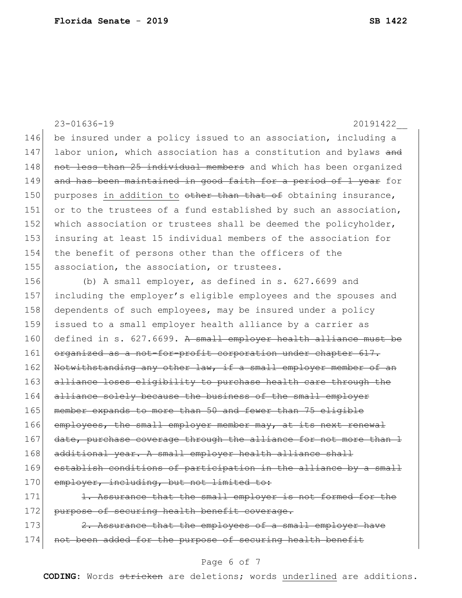23-01636-19 20191422\_\_ 146 be insured under a policy issued to an association, including a 147 labor union, which association has a constitution and bylaws and 148 not less than 25 individual members and which has been organized 149 and has been maintained in good faith for a period of 1 year for 150 purposes in addition to other than that of obtaining insurance, 151 or to the trustees of a fund established by such an association, 152 which association or trustees shall be deemed the policyholder, 153 insuring at least 15 individual members of the association for 154 the benefit of persons other than the officers of the 155 association, the association, or trustees.

156 (b) A small employer, as defined in s. 627.6699 and 157 including the employer's eligible employees and the spouses and 158 dependents of such employees, may be insured under a policy 159 issued to a small employer health alliance by a carrier as 160 defined in s. 627.6699. A small employer health alliance must be 161 organized as a not-for-profit corporation under chapter 617. 162 Notwithstanding any other law, if a small employer member of an 163 alliance loses eligibility to purchase health care through the 164 alliance solely because the business of the small employer 165 member expands to more than 50 and fewer than 75 eligible 166 employees, the small employer member may, at its next renewal 167 date, purchase coverage through the alliance for not more than 1 168 additional year. A small employer health alliance shall 169 establish conditions of participation in the alliance by a small 170 employer, including, but not limited to: 171 1. Assurance that the small employer is not formed for the

172 purpose of securing health benefit coverage.

173 2. Assurance that the employees of a small employer have 174 not been added for the purpose of securing health benefit

## Page 6 of 7